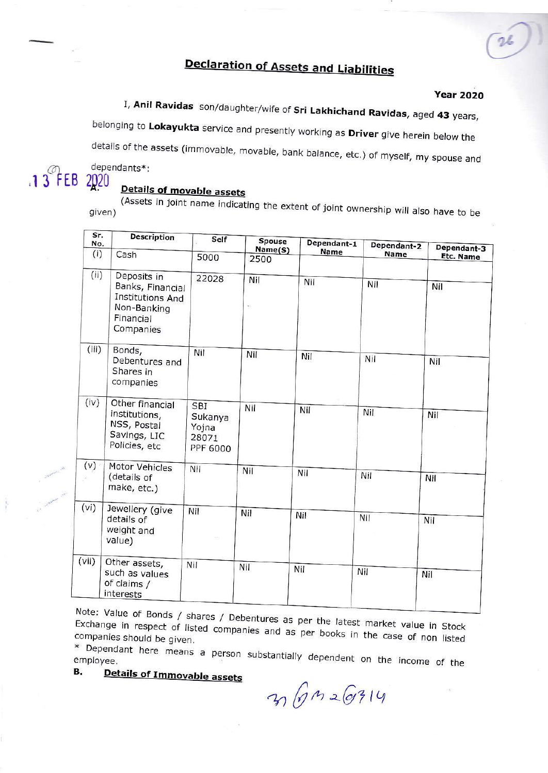# **Declaration of Assets and Liabilities**

#### **Year 2020**

I, Anil Ravidas son/daughter/wife of Sri Lakhichand Ravidas, aged 43 years,

belonging to Lokayukta service and presently working as Driver give herein below the

details of the assets (immovable, movable, bank balance, etc.) of myself, my spouse and

 $.13$  FEB

## dependants\*: 2020

# Details of movable assets

(Assets in joint name indicating the extent of joint ownership will also have to be given)

| sг.<br>No. | Description                                                                                  | Self                                                | <b>Spouse</b><br>Name(S) | Dependant-1 | Dependant-2 | Dependant-3      |
|------------|----------------------------------------------------------------------------------------------|-----------------------------------------------------|--------------------------|-------------|-------------|------------------|
| (i)        | Cash                                                                                         | 5000                                                | 2500                     | Name        | Name        | <b>Etc. Name</b> |
| (i)        | Deposits in<br>Banks, Financial<br>Institutions And<br>Non-Banking<br>Financial<br>Companies | 22028                                               | Nil                      | Nil         | Nil         | Nil              |
| (iii)      | Bonds,<br>Debentures and<br>Shares in<br>companies                                           | Nil                                                 | Nil                      | Nil         | Nil         | Nil              |
| (iv)       | Other financial<br>institutions,<br>NSS, Postal<br>Savings, LIC<br>Policies, etc             | <b>SBI</b><br>Sukanya<br>Yojna<br>28071<br>PPF 6000 | Nil                      | Nil         | Nil         | Nil              |
| (v)        | Motor Vehicles<br>(details of<br>make, etc.)                                                 | Nil                                                 | Nil                      | Nil         | Nil         | Nil              |
| (vi)       | Jewellery (give<br>details of<br>weight and<br>value)                                        | Nil                                                 | Nil                      | Nil         | Nil         | Nil              |
| (vii)      | Other assets,<br>such as values<br>of claims /<br>interests                                  | Nil                                                 | Nil                      | Nil         | Nil         | Nil              |

Note: Value of Bonds / shares / Debentures as per the latest market value in Stock Exchange in respect of listed companies and as per books in the case of non listed companies should be given.

\* Dependant here means a person substantially dependent on the income of the В.

Details of Immovable assets

3 6 m 2 6314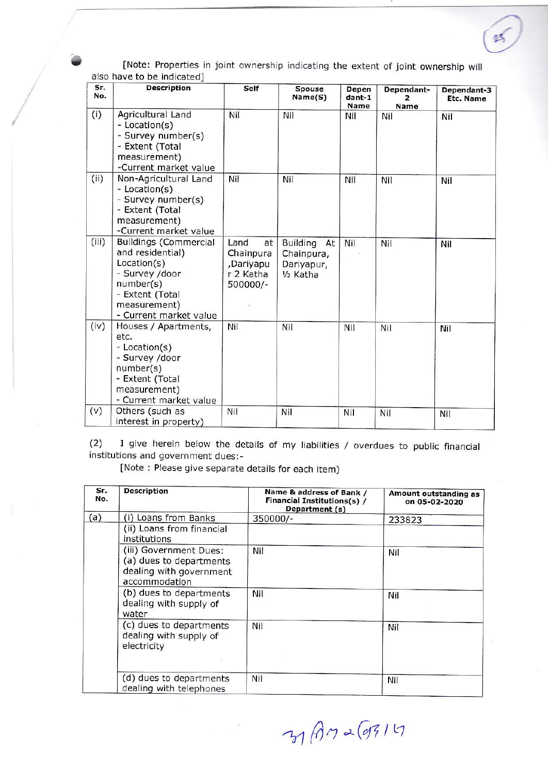|               | [Note: Properties in joint ownership indicating the extent of joint ownership will<br>also have to be indicated] |                |                   |                                |                           |                          |
|---------------|------------------------------------------------------------------------------------------------------------------|----------------|-------------------|--------------------------------|---------------------------|--------------------------|
| Sr.<br>No.    | <b>Description</b>                                                                                               | Self           | Spouse<br>Name(S) | Depen<br>dant-1<br><b>Name</b> | Dependant-<br><b>Name</b> | Dependant-3<br>Etc. Name |
| $\mathcal{L}$ | $A = -1$                                                                                                         | <b>B</b> 1 1 1 | 1.1.1             | $-111$                         | $  -$                     |                          |

|       |                                                                                                                                                             |                                                               |                                                                  | name | Name |     |
|-------|-------------------------------------------------------------------------------------------------------------------------------------------------------------|---------------------------------------------------------------|------------------------------------------------------------------|------|------|-----|
| (i)   | Agricultural Land<br>- Location(s)<br>- Survey number(s)<br>- Extent (Total<br>measurement)<br>-Current market value                                        | Nil                                                           | Nil                                                              | Nil  | Nil  | Nil |
| (ii)  | Non-Agricultural Land<br>- Location(s)<br>- Survey number(s)<br>- Extent (Total<br>measurement)<br>-Current market value                                    | Nil                                                           | Nil                                                              | Nil  | Nil  | Nil |
| (iii) | <b>Buildings (Commercial</b><br>and residential)<br>Location(s)<br>- Survey /door<br>number(s)<br>- Extent (Total<br>measurement)<br>- Current market value | Land<br>at<br>Chainpura<br>,Dariyapu<br>r 2 Katha<br>500000/- | Building At<br>Chainpura,<br>Dariyapur,<br>1/ <sub>2</sub> Katha | Nil  | Nil  | Nil |
| (iv)  | Houses / Apartments,<br>etc.<br>- Location(s)<br>- Survey /door<br>number(s)<br>- Extent (Total<br>measurement)<br>- Current market value                   | Nil                                                           | Nil                                                              | Nil  | Nil  | Nil |
| (v)   | Others (such as<br>interest in property)                                                                                                                    | Nil                                                           | Nil                                                              | Nil  | Nil  | Nil |

 $(2)$  I give herein below the details of my liabilities / overdues to public financial institutions and government dues:-

[Note : Please give separate details for each item)

| Sr.<br>No. | <b>Description</b>                                                                            | Name & address of Bank /<br>Financial Institutions(s) /<br>Department (s) | Amount outstanding as<br>on 05-02-2020<br>233823 |  |
|------------|-----------------------------------------------------------------------------------------------|---------------------------------------------------------------------------|--------------------------------------------------|--|
| (a)        | (i) Loans from Banks                                                                          | 350000/-                                                                  |                                                  |  |
|            | (ii) Loans from financial<br>institutions                                                     |                                                                           |                                                  |  |
|            | (iii) Government Dues:<br>(a) dues to departments<br>dealing with government<br>accommodation | Nil                                                                       | Nil                                              |  |
|            | (b) dues to departments<br>dealing with supply of<br>water                                    | Nil                                                                       | Nil                                              |  |
|            | (c) dues to departments<br>dealing with supply of<br>electricity                              | Nil                                                                       | Nil                                              |  |
|            | (d) dues to departments<br>dealing with telephones                                            | Nil                                                                       | Nil                                              |  |

 $31$  An 2 (9314